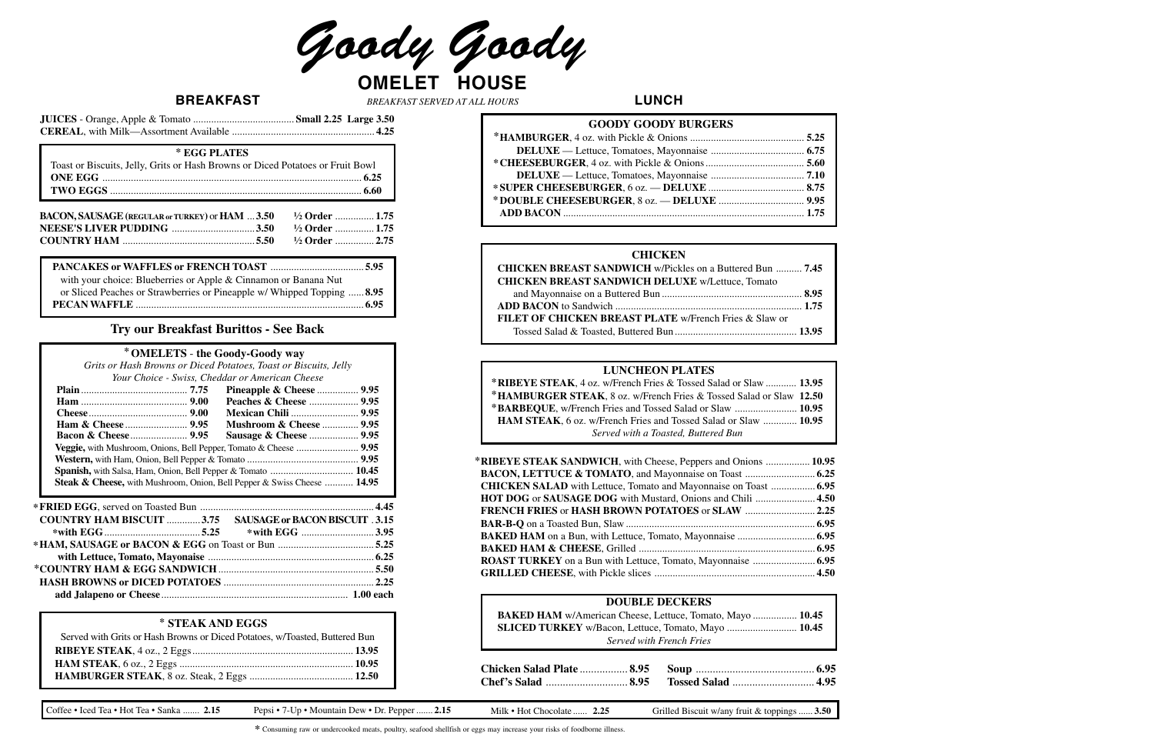Goody Goody **OMELET HOUSE**

**BREAKFAST LUNCH** *BREAKFAST SERVED AT ALL HOURS*

Coffee • Iced Tea • Hot Tea • Sanka ....... 2.15 Pepsi • 7-Up • Mountain Dew • Dr. Pepper ....... 2.15 Milk • Hot Chocolate ...... 2.25 Grilled Biscuit w/any fruit & toppings ...... 3.50

### **Try our Breakfast Burittos - See Back**

**\*** Consuming raw or undercooked meats, poultry, seafood shellfish or eggs may increase your risks of foodborne illness.

| <b>DOUBLE DECKERS</b>                                      |  |
|------------------------------------------------------------|--|
| BAKED HAM w/American Cheese, Lettuce, Tomato, Mayo  10.45  |  |
| <b>SLICED TURKEY</b> w/Bacon, Lettuce, Tomato, Mayo  10.45 |  |
| Served with French Fries                                   |  |

| *RIBEYE STEAK SANDWICH, with Cheese, Peppers and Onions  10.95          |  |
|-------------------------------------------------------------------------|--|
|                                                                         |  |
| <b>CHICKEN SALAD</b> with Lettuce, Tomato and Mayonnaise on Toast  6.95 |  |
| HOT DOG or SAUSAGE DOG with Mustard, Onions and Chili  4.50             |  |
| <b>FRENCH FRIES or HASH BROWN POTATOES or SLAW  2.25</b>                |  |
|                                                                         |  |
|                                                                         |  |
|                                                                         |  |
|                                                                         |  |
|                                                                         |  |

#### **LUNCHEON PLATES**

| *RIBEYE STEAK, 4 oz. w/French Fries & Tossed Salad or Slaw  13.95      |  |
|------------------------------------------------------------------------|--|
| *HAMBURGER STEAK, 8 oz. w/French Fries & Tossed Salad or Slaw 12.50    |  |
| *BARBEQUE, w/French Fries and Tossed Salad or Slaw  10.95              |  |
| <b>HAM STEAK, 6 oz.</b> w/French Fries and Tossed Salad or Slaw  10.95 |  |
| Served with a Toasted, Buttered Bun                                    |  |

#### **CHICKEN**

| CHICKEN BREAST SANDWICH w/Pickles on a Buttered Bun  7.45 |  |
|-----------------------------------------------------------|--|
| <b>CHICKEN BREAST SANDWICH DELUXE w/Lettuce, Tomato</b>   |  |
|                                                           |  |
|                                                           |  |
| FILET OF CHICKEN BREAST PLATE w/French Fries & Slaw or    |  |
|                                                           |  |

| BACON, SAUSAGE (REGULAR or TURKEY) or HAM 3.50 <sup>1/2</sup> Order  1.75 |  |  |
|---------------------------------------------------------------------------|--|--|
|                                                                           |  |  |
|                                                                           |  |  |

*Grits or Hash Browns or Diced Potatoes, Toast or Biscuits, Jelly Your Choice - Swiss, Cheddar or American Cheese*

#### **OMELETS** - **the Goody-Goody way \***

|  | Tour Choice - Swiss, Cheddur or American Cheese                                    |  |
|--|------------------------------------------------------------------------------------|--|
|  | Pineapple & Cheese  9.95                                                           |  |
|  |                                                                                    |  |
|  |                                                                                    |  |
|  | <b>Mushroom &amp; Cheese  9.95</b>                                                 |  |
|  |                                                                                    |  |
|  | Veggie, with Mushroom, Onions, Bell Pepper, Tomato & Cheese  9.95                  |  |
|  |                                                                                    |  |
|  |                                                                                    |  |
|  | <b>Steak &amp; Cheese,</b> with Mushroom, Onion, Bell Pepper & Swiss Cheese  14.95 |  |
|  |                                                                                    |  |
|  |                                                                                    |  |
|  |                                                                                    |  |
|  | <b>COUNTRY HAM BISCUIT 3.75 SAUSAGE or BACON BISCUIT .3.15</b>                     |  |
|  | * with EGG 3.95                                                                    |  |
|  |                                                                                    |  |
|  |                                                                                    |  |
|  |                                                                                    |  |
|  |                                                                                    |  |
|  |                                                                                    |  |

#### **STEAK AND EGGS \***

| Served with Grits or Hash Browns or Diced Potatoes, w/Toasted, Buttered Bun |  |
|-----------------------------------------------------------------------------|--|
|                                                                             |  |
|                                                                             |  |
|                                                                             |  |

| with your choice: Blueberries or Apple & Cinnamon or Banana Nut         |  |
|-------------------------------------------------------------------------|--|
| or Sliced Peaches or Strawberries or Pineapple w/ Whipped Topping  8.95 |  |
|                                                                         |  |

| * EGG PLATES                                                                   |
|--------------------------------------------------------------------------------|
| Toast or Biscuits, Jelly, Grits or Hash Browns or Diced Potatoes or Fruit Bowl |
|                                                                                |
|                                                                                |

| <b>GOODY GOODY BURGERS</b> |  |
|----------------------------|--|
|                            |  |
|                            |  |
|                            |  |
|                            |  |
|                            |  |
|                            |  |
|                            |  |